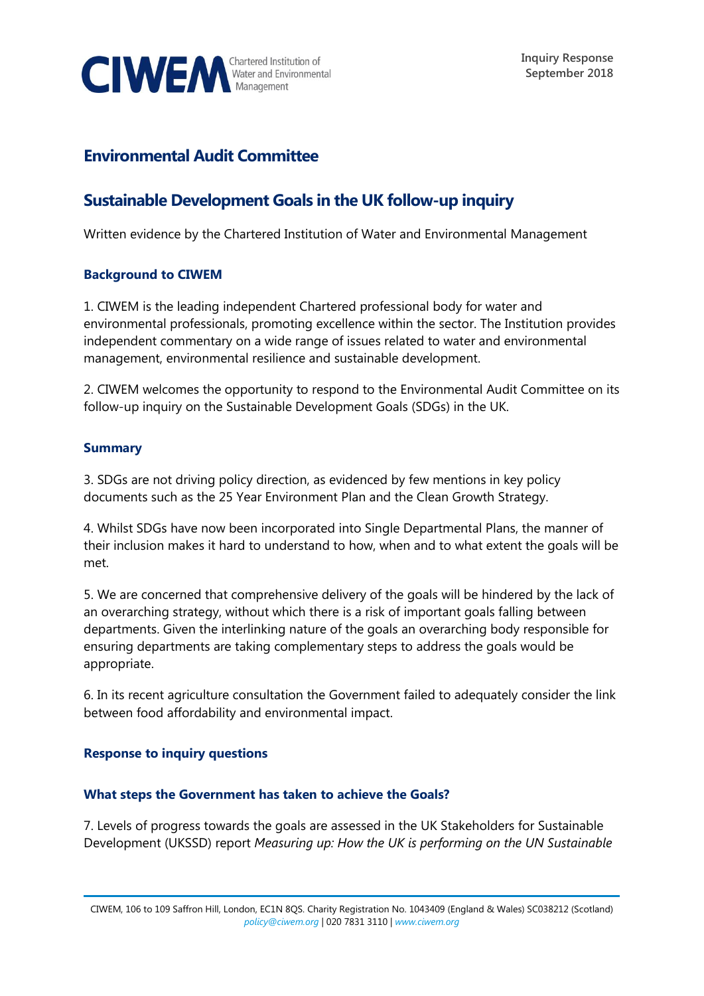

# **Environmental Audit Committee**

# **Sustainable Development Goals in the UK follow-up inquiry**

Written evidence by the Chartered Institution of Water and Environmental Management

#### **Background to CIWEM**

1. CIWEM is the leading independent Chartered professional body for water and environmental professionals, promoting excellence within the sector. The Institution provides independent commentary on a wide range of issues related to water and environmental management, environmental resilience and sustainable development.

2. CIWEM welcomes the opportunity to respond to the Environmental Audit Committee on its follow-up inquiry on the Sustainable Development Goals (SDGs) in the UK.

## **Summary**

3. SDGs are not driving policy direction, as evidenced by few mentions in key policy documents such as the 25 Year Environment Plan and the Clean Growth Strategy.

4. Whilst SDGs have now been incorporated into Single Departmental Plans, the manner of their inclusion makes it hard to understand to how, when and to what extent the goals will be met.

5. We are concerned that comprehensive delivery of the goals will be hindered by the lack of an overarching strategy, without which there is a risk of important goals falling between departments. Given the interlinking nature of the goals an overarching body responsible for ensuring departments are taking complementary steps to address the goals would be appropriate.

6. In its recent agriculture consultation the Government failed to adequately consider the link between food affordability and environmental impact.

#### **Response to inquiry questions**

#### **What steps the Government has taken to achieve the Goals?**

7. Levels of progress towards the goals are assessed in the UK Stakeholders for Sustainable Development (UKSSD) report *Measuring up: How the UK is performing on the UN Sustainable* 

CIWEM, 106 to 109 Saffron Hill, London, EC1N 8QS. Charity Registration No. 1043409 (England & Wales) SC038212 (Scotland) *[policy@ciwem.org](mailto:policy@ciwem.org)* | 020 7831 3110 | *[www.ciwem.org](http://www.ciwem.org/)*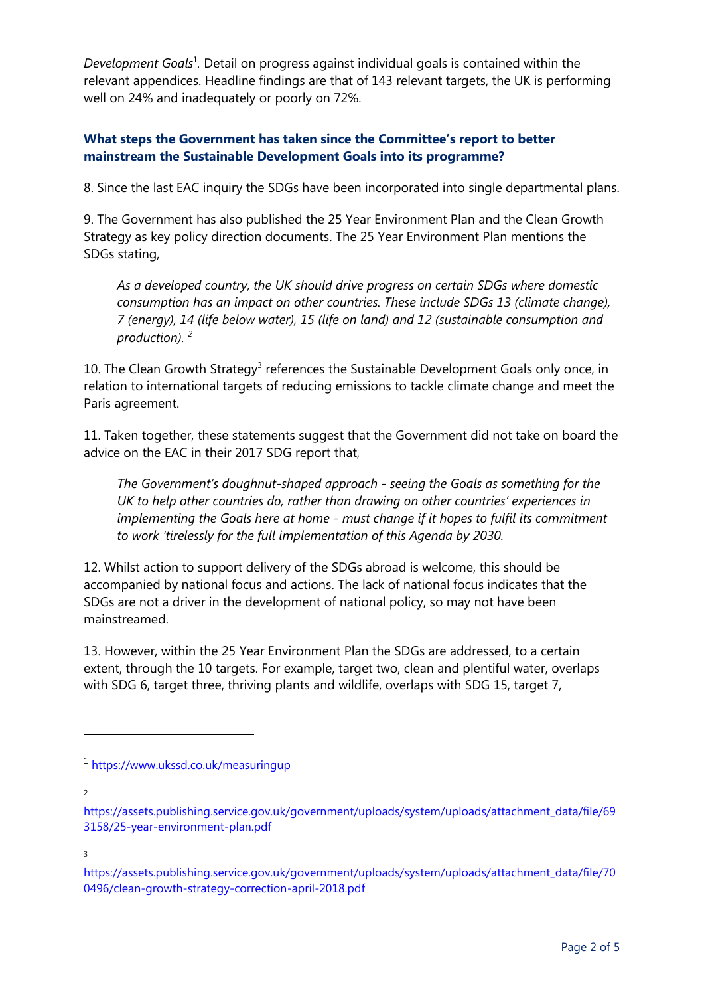Development Goals<sup>1</sup>. Detail on progress against individual goals is contained within the relevant appendices. Headline findings are that of 143 relevant targets, the UK is performing well on 24% and inadequately or poorly on 72%.

# **What steps the Government has taken since the Committee's report to better mainstream the Sustainable Development Goals into its programme?**

8. Since the last EAC inquiry the SDGs have been incorporated into single departmental plans.

9. The Government has also published the 25 Year Environment Plan and the Clean Growth Strategy as key policy direction documents. The 25 Year Environment Plan mentions the SDGs stating,

*As a developed country, the UK should drive progress on certain SDGs where domestic consumption has an impact on other countries. These include SDGs 13 (climate change), 7 (energy), 14 (life below water), 15 (life on land) and 12 (sustainable consumption and production). <sup>2</sup>*

10. The Clean Growth Strategy<sup>3</sup> references the Sustainable Development Goals only once, in relation to international targets of reducing emissions to tackle climate change and meet the Paris agreement.

11. Taken together, these statements suggest that the Government did not take on board the advice on the EAC in their 2017 SDG report that,

*The Government's doughnut-shaped approach - seeing the Goals as something for the UK to help other countries do, rather than drawing on other countries' experiences in implementing the Goals here at home - must change if it hopes to fulfil its commitment to work 'tirelessly for the full implementation of this Agenda by 2030.*

12. Whilst action to support delivery of the SDGs abroad is welcome, this should be accompanied by national focus and actions. The lack of national focus indicates that the SDGs are not a driver in the development of national policy, so may not have been mainstreamed.

13. However, within the 25 Year Environment Plan the SDGs are addressed, to a certain extent, through the 10 targets. For example, target two, clean and plentiful water, overlaps with SDG 6, target three, thriving plants and wildlife, overlaps with SDG 15, target 7,

2

 $\overline{a}$ 

3

<sup>1</sup> <https://www.ukssd.co.uk/measuringup>

[https://assets.publishing.service.gov.uk/government/uploads/system/uploads/attachment\\_data/file/69](https://assets.publishing.service.gov.uk/government/uploads/system/uploads/attachment_data/file/693158/25-year-environment-plan.pdf) [3158/25-year-environment-plan.pdf](https://assets.publishing.service.gov.uk/government/uploads/system/uploads/attachment_data/file/693158/25-year-environment-plan.pdf)

[https://assets.publishing.service.gov.uk/government/uploads/system/uploads/attachment\\_data/file/70](https://assets.publishing.service.gov.uk/government/uploads/system/uploads/attachment_data/file/700496/clean-growth-strategy-correction-april-2018.pdf) [0496/clean-growth-strategy-correction-april-2018.pdf](https://assets.publishing.service.gov.uk/government/uploads/system/uploads/attachment_data/file/700496/clean-growth-strategy-correction-april-2018.pdf)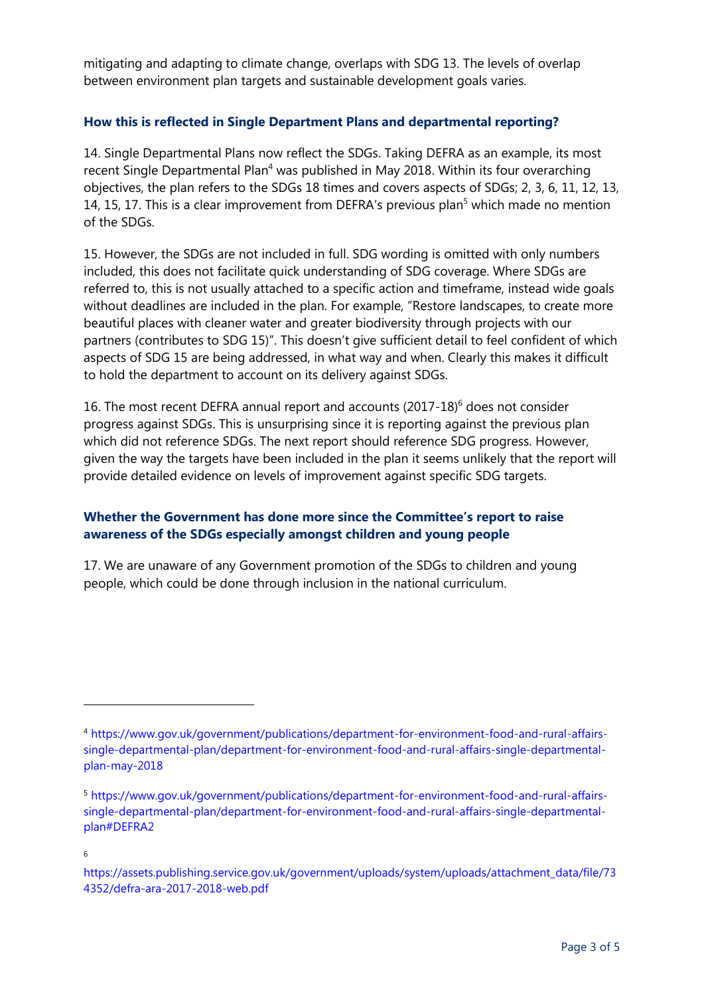mitigating and adapting to climate change, overlaps with SDG 13. The levels of overlap between environment plan targets and sustainable development goals varies.

#### **How this is reflected in Single Department Plans and departmental reporting?**

14. Single Departmental Plans now reflect the SDGs. Taking DEFRA as an example, its most recent Single Departmental Plan<sup>4</sup> was published in May 2018. Within its four overarching objectives, the plan refers to the SDGs 18 times and covers aspects of SDGs; 2, 3, 6, 11, 12, 13, 14, 15, 17. This is a clear improvement from DEFRA's previous plan<sup>5</sup> which made no mention of the SDGs.

15. However, the SDGs are not included in full. SDG wording is omitted with only numbers included, this does not facilitate quick understanding of SDG coverage. Where SDGs are referred to, this is not usually attached to a specific action and timeframe, instead wide goals without deadlines are included in the plan. For example, "Restore landscapes, to create more beautiful places with cleaner water and greater biodiversity through projects with our partners (contributes to SDG 15)". This doesn't give sufficient detail to feel confident of which aspects of SDG 15 are being addressed, in what way and when. Clearly this makes it difficult to hold the department to account on its delivery against SDGs.

16. The most recent DEFRA annual report and accounts (2017-18)<sup>6</sup> does not consider progress against SDGs. This is unsurprising since it is reporting against the previous plan which did not reference SDGs. The next report should reference SDG progress. However, given the way the targets have been included in the plan it seems unlikely that the report will provide detailed evidence on levels of improvement against specific SDG targets.

## **Whether the Government has done more since the Committee's report to raise awareness of the SDGs especially amongst children and young people**

17. We are unaware of any Government promotion of the SDGs to children and young people, which could be done through inclusion in the national curriculum.

 $\overline{a}$ 

<sup>4</sup> [https://www.gov.uk/government/publications/department-for-environment-food-and-rural-affairs](https://www.gov.uk/government/publications/department-for-environment-food-and-rural-affairs-single-departmental-plan/department-for-environment-food-and-rural-affairs-single-departmental-plan-may-2018)[single-departmental-plan/department-for-environment-food-and-rural-affairs-single-departmental](https://www.gov.uk/government/publications/department-for-environment-food-and-rural-affairs-single-departmental-plan/department-for-environment-food-and-rural-affairs-single-departmental-plan-may-2018)[plan-may-2018](https://www.gov.uk/government/publications/department-for-environment-food-and-rural-affairs-single-departmental-plan/department-for-environment-food-and-rural-affairs-single-departmental-plan-may-2018)

<sup>5</sup> [https://www.gov.uk/government/publications/department-for-environment-food-and-rural-affairs](https://www.gov.uk/government/publications/department-for-environment-food-and-rural-affairs-single-departmental-plan/department-for-environment-food-and-rural-affairs-single-departmental-plan#DEFRA2)[single-departmental-plan/department-for-environment-food-and-rural-affairs-single-departmental](https://www.gov.uk/government/publications/department-for-environment-food-and-rural-affairs-single-departmental-plan/department-for-environment-food-and-rural-affairs-single-departmental-plan#DEFRA2)[plan#DEFRA2](https://www.gov.uk/government/publications/department-for-environment-food-and-rural-affairs-single-departmental-plan/department-for-environment-food-and-rural-affairs-single-departmental-plan#DEFRA2)

<sup>6</sup>

[https://assets.publishing.service.gov.uk/government/uploads/system/uploads/attachment\\_data/file/73](https://assets.publishing.service.gov.uk/government/uploads/system/uploads/attachment_data/file/734352/defra-ara-2017-2018-web.pdf) [4352/defra-ara-2017-2018-web.pdf](https://assets.publishing.service.gov.uk/government/uploads/system/uploads/attachment_data/file/734352/defra-ara-2017-2018-web.pdf)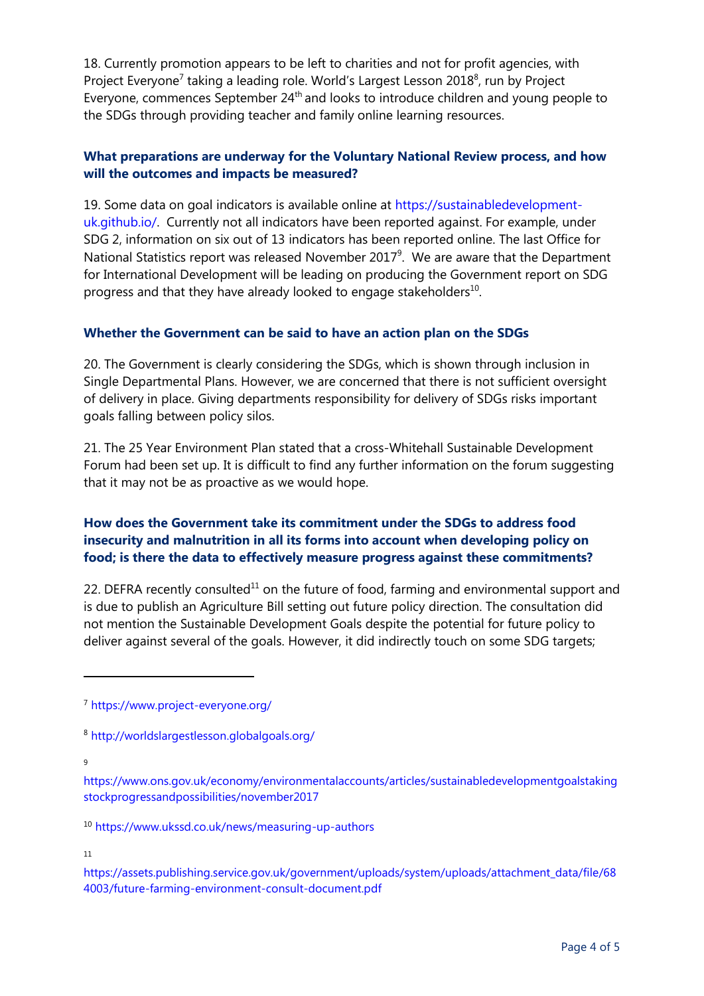18. Currently promotion appears to be left to charities and not for profit agencies, with Project Everyone<sup>7</sup> taking a leading role. World's Largest Lesson 2018<sup>8</sup>, run by Project Everyone, commences September 24<sup>th</sup> and looks to introduce children and young people to the SDGs through providing teacher and family online learning resources.

## **What preparations are underway for the Voluntary National Review process, and how will the outcomes and impacts be measured?**

19. Some data on goal indicators is available online at [https://sustainabledevelopment](https://sustainabledevelopment-uk.github.io/)[uk.github.io/.](https://sustainabledevelopment-uk.github.io/) Currently not all indicators have been reported against. For example, under SDG 2, information on six out of 13 indicators has been reported online. The last Office for National Statistics report was released November 2017 $9$ . We are aware that the Department for International Development will be leading on producing the Government report on SDG progress and that they have already looked to engage stakeholders<sup>10</sup>.

#### **Whether the Government can be said to have an action plan on the SDGs**

20. The Government is clearly considering the SDGs, which is shown through inclusion in Single Departmental Plans. However, we are concerned that there is not sufficient oversight of delivery in place. Giving departments responsibility for delivery of SDGs risks important goals falling between policy silos.

21. The 25 Year Environment Plan stated that a cross-Whitehall Sustainable Development Forum had been set up. It is difficult to find any further information on the forum suggesting that it may not be as proactive as we would hope.

# **How does the Government take its commitment under the SDGs to address food insecurity and malnutrition in all its forms into account when developing policy on food; is there the data to effectively measure progress against these commitments?**

22. DEFRA recently consulted<sup>11</sup> on the future of food, farming and environmental support and is due to publish an Agriculture Bill setting out future policy direction. The consultation did not mention the Sustainable Development Goals despite the potential for future policy to deliver against several of the goals. However, it did indirectly touch on some SDG targets;

9

 $\overline{a}$ 

<sup>10</sup> <https://www.ukssd.co.uk/news/measuring-up-authors>

11

[https://assets.publishing.service.gov.uk/government/uploads/system/uploads/attachment\\_data/file/68](https://assets.publishing.service.gov.uk/government/uploads/system/uploads/attachment_data/file/684003/future-farming-environment-consult-document.pdf) [4003/future-farming-environment-consult-document.pdf](https://assets.publishing.service.gov.uk/government/uploads/system/uploads/attachment_data/file/684003/future-farming-environment-consult-document.pdf)

<sup>7</sup> <https://www.project-everyone.org/>

<sup>8</sup> <http://worldslargestlesson.globalgoals.org/>

[https://www.ons.gov.uk/economy/environmentalaccounts/articles/sustainabledevelopmentgoalstaking](https://www.ons.gov.uk/economy/environmentalaccounts/articles/sustainabledevelopmentgoalstakingstockprogressandpossibilities/november2017) [stockprogressandpossibilities/november2017](https://www.ons.gov.uk/economy/environmentalaccounts/articles/sustainabledevelopmentgoalstakingstockprogressandpossibilities/november2017)